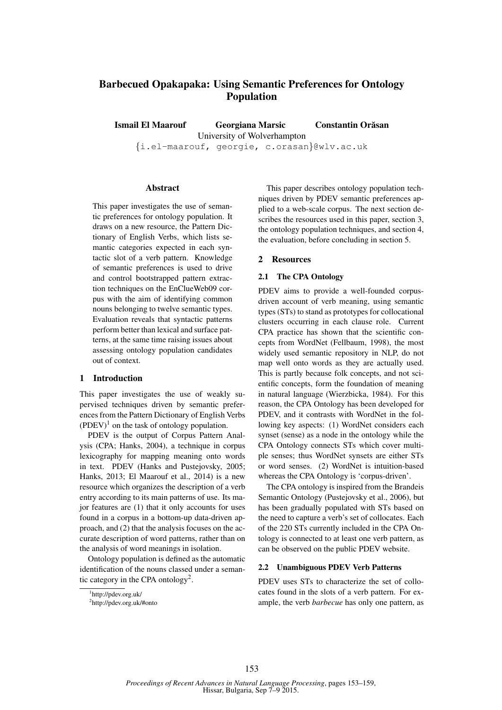# Barbecued Opakapaka: Using Semantic Preferences for Ontology Population

Ismail El Maarouf Georgiana Marsic Constantin Orasan ˘ University of Wolverhampton {i.el-maarouf, georgie, c.orasan}@wlv.ac.uk

# Abstract

This paper investigates the use of semantic preferences for ontology population. It draws on a new resource, the Pattern Dictionary of English Verbs, which lists semantic categories expected in each syntactic slot of a verb pattern. Knowledge of semantic preferences is used to drive and control bootstrapped pattern extraction techniques on the EnClueWeb09 corpus with the aim of identifying common nouns belonging to twelve semantic types. Evaluation reveals that syntactic patterns perform better than lexical and surface patterns, at the same time raising issues about assessing ontology population candidates out of context.

## 1 Introduction

This paper investigates the use of weakly supervised techniques driven by semantic preferences from the Pattern Dictionary of English Verbs  $(PDEV)^1$  on the task of ontology population.

PDEV is the output of Corpus Pattern Analysis (CPA; Hanks, 2004), a technique in corpus lexicography for mapping meaning onto words in text. PDEV (Hanks and Pustejovsky, 2005; Hanks, 2013; El Maarouf et al., 2014) is a new resource which organizes the description of a verb entry according to its main patterns of use. Its major features are (1) that it only accounts for uses found in a corpus in a bottom-up data-driven approach, and (2) that the analysis focuses on the accurate description of word patterns, rather than on the analysis of word meanings in isolation.

Ontology population is defined as the automatic identification of the nouns classed under a semantic category in the CPA ontology<sup>2</sup>.

This paper describes ontology population techniques driven by PDEV semantic preferences applied to a web-scale corpus. The next section describes the resources used in this paper, section 3, the ontology population techniques, and section 4, the evaluation, before concluding in section 5.

## 2 Resources

## 2.1 The CPA Ontology

PDEV aims to provide a well-founded corpusdriven account of verb meaning, using semantic types (STs) to stand as prototypes for collocational clusters occurring in each clause role. Current CPA practice has shown that the scientific concepts from WordNet (Fellbaum, 1998), the most widely used semantic repository in NLP, do not map well onto words as they are actually used. This is partly because folk concepts, and not scientific concepts, form the foundation of meaning in natural language (Wierzbicka, 1984). For this reason, the CPA Ontology has been developed for PDEV, and it contrasts with WordNet in the following key aspects: (1) WordNet considers each synset (sense) as a node in the ontology while the CPA Ontology connects STs which cover multiple senses; thus WordNet synsets are either STs or word senses. (2) WordNet is intuition-based whereas the CPA Ontology is 'corpus-driven'.

The CPA ontology is inspired from the Brandeis Semantic Ontology (Pustejovsky et al., 2006), but has been gradually populated with STs based on the need to capture a verb's set of collocates. Each of the 220 STs currently included in the CPA Ontology is connected to at least one verb pattern, as can be observed on the public PDEV website.

# 2.2 Unambiguous PDEV Verb Patterns

PDEV uses STs to characterize the set of collocates found in the slots of a verb pattern. For example, the verb *barbecue* has only one pattern, as

<sup>1</sup> http://pdev.org.uk/

<sup>2</sup> http://pdev.org.uk/#onto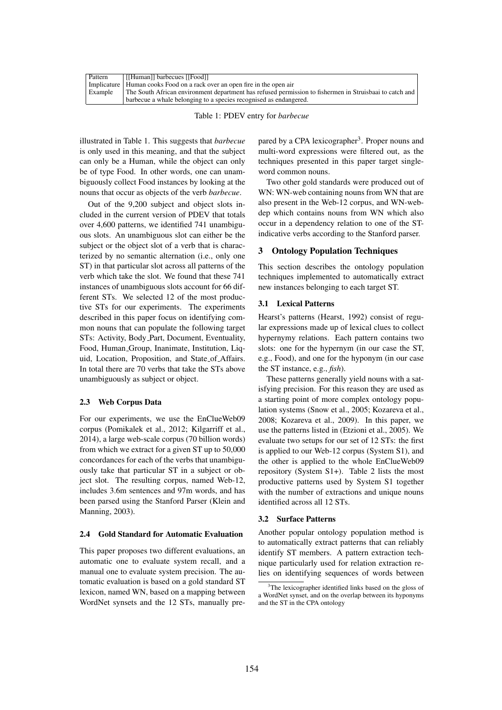| Pattern | [[Human]] barbecues [[Food]]                                                                            |
|---------|---------------------------------------------------------------------------------------------------------|
|         | Implicature   Human cooks Food on a rack over an open fire in the open air                              |
| Example | The South African environment department has refused permission to fishermen in Struisbaai to catch and |
|         | barbecue a whale belonging to a species recognised as endangered.                                       |

Table 1: PDEV entry for *barbecue*

illustrated in Table 1. This suggests that *barbecue* is only used in this meaning, and that the subject can only be a Human, while the object can only be of type Food. In other words, one can unambiguously collect Food instances by looking at the nouns that occur as objects of the verb *barbecue*.

Out of the 9,200 subject and object slots included in the current version of PDEV that totals over 4,600 patterns, we identified 741 unambiguous slots. An unambiguous slot can either be the subject or the object slot of a verb that is characterized by no semantic alternation (i.e., only one ST) in that particular slot across all patterns of the verb which take the slot. We found that these 741 instances of unambiguous slots account for 66 different STs. We selected 12 of the most productive STs for our experiments. The experiments described in this paper focus on identifying common nouns that can populate the following target STs: Activity, Body Part, Document, Eventuality, Food, Human Group, Inanimate, Institution, Liquid, Location, Proposition, and State of Affairs. In total there are 70 verbs that take the STs above unambiguously as subject or object.

# 2.3 Web Corpus Data

For our experiments, we use the EnClueWeb09 corpus (Pomikalek et al., 2012; Kilgarriff et al., 2014), a large web-scale corpus (70 billion words) from which we extract for a given ST up to 50,000 concordances for each of the verbs that unambiguously take that particular ST in a subject or object slot. The resulting corpus, named Web-12, includes 3.6m sentences and 97m words, and has been parsed using the Stanford Parser (Klein and Manning, 2003).

# 2.4 Gold Standard for Automatic Evaluation

This paper proposes two different evaluations, an automatic one to evaluate system recall, and a manual one to evaluate system precision. The automatic evaluation is based on a gold standard ST lexicon, named WN, based on a mapping between WordNet synsets and the 12 STs, manually pre-

pared by a CPA lexicographer<sup>3</sup>. Proper nouns and multi-word expressions were filtered out, as the techniques presented in this paper target singleword common nouns.

Two other gold standards were produced out of WN: WN-web containing nouns from WN that are also present in the Web-12 corpus, and WN-webdep which contains nouns from WN which also occur in a dependency relation to one of the STindicative verbs according to the Stanford parser.

## 3 Ontology Population Techniques

This section describes the ontology population techniques implemented to automatically extract new instances belonging to each target ST.

# 3.1 Lexical Patterns

Hearst's patterns (Hearst, 1992) consist of regular expressions made up of lexical clues to collect hypernymy relations. Each pattern contains two slots: one for the hypernym (in our case the ST, e.g., Food), and one for the hyponym (in our case the ST instance, e.g., *fish*).

These patterns generally yield nouns with a satisfying precision. For this reason they are used as a starting point of more complex ontology population systems (Snow et al., 2005; Kozareva et al., 2008; Kozareva et al., 2009). In this paper, we use the patterns listed in (Etzioni et al., 2005). We evaluate two setups for our set of 12 STs: the first is applied to our Web-12 corpus (System S1), and the other is applied to the whole EnClueWeb09 repository (System S1+). Table 2 lists the most productive patterns used by System S1 together with the number of extractions and unique nouns identified across all 12 STs.

## 3.2 Surface Patterns

Another popular ontology population method is to automatically extract patterns that can reliably identify ST members. A pattern extraction technique particularly used for relation extraction relies on identifying sequences of words between

<sup>&</sup>lt;sup>3</sup>The lexicographer identified links based on the gloss of a WordNet synset, and on the overlap between its hyponyms and the ST in the CPA ontology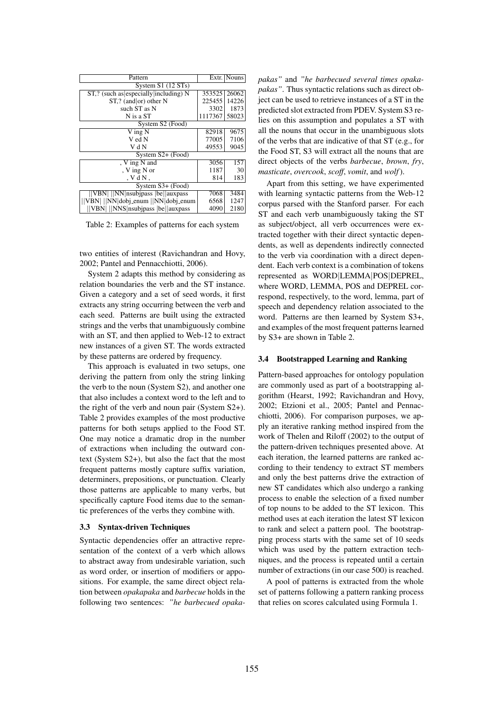| Pattern                                  |         | Extr.   Nouns     |  |  |  |  |  |
|------------------------------------------|---------|-------------------|--|--|--|--|--|
| System S1 (12 STs)                       |         |                   |  |  |  |  |  |
| $ST$ ,? (such as especially including) N | 353525  | 26062             |  |  |  |  |  |
| $ST$ ,? (and or) other N                 | 225455  | 14226             |  |  |  |  |  |
| such ST as N                             | 3302    | 1873              |  |  |  |  |  |
| N is a ST                                | 1117367 | 58023             |  |  |  |  |  |
| System S2 (Food)                         |         |                   |  |  |  |  |  |
| V ing N                                  | 82918   | $96\overline{75}$ |  |  |  |  |  |
| V ed N                                   | 77005   | 7106              |  |  |  |  |  |
| V d N                                    | 49553   | 9045              |  |  |  |  |  |
| System S2+ (Food)                        |         |                   |  |  |  |  |  |
| , V ing N and                            | 3056    | 157               |  |  |  |  |  |
| , V ing N or                             | 1187    | 30                |  |  |  |  |  |
| . V d N .                                | 814     | 183               |  |  |  |  |  |
| System S3+ (Food)                        |         |                   |  |  |  |  |  |
| <b>VBN</b> NN nsubjpass be auxpass       | 7068    | 3484              |  |  |  |  |  |
| VBN    NN dobj_enum   NN dobj_enum       | 6568    | 1247              |  |  |  |  |  |
| VBN   NNS nsubjpass  be  auxpass         | 4090    | 2180              |  |  |  |  |  |

Table 2: Examples of patterns for each system

two entities of interest (Ravichandran and Hovy, 2002; Pantel and Pennacchiotti, 2006).

System 2 adapts this method by considering as relation boundaries the verb and the ST instance. Given a category and a set of seed words, it first extracts any string occurring between the verb and each seed. Patterns are built using the extracted strings and the verbs that unambiguously combine with an ST, and then applied to Web-12 to extract new instances of a given ST. The words extracted by these patterns are ordered by frequency.

This approach is evaluated in two setups, one deriving the pattern from only the string linking the verb to the noun (System S2), and another one that also includes a context word to the left and to the right of the verb and noun pair (System S2+). Table 2 provides examples of the most productive patterns for both setups applied to the Food ST. One may notice a dramatic drop in the number of extractions when including the outward context (System S2+), but also the fact that the most frequent patterns mostly capture suffix variation, determiners, prepositions, or punctuation. Clearly those patterns are applicable to many verbs, but specifically capture Food items due to the semantic preferences of the verbs they combine with.

#### 3.3 Syntax-driven Techniques

Syntactic dependencies offer an attractive representation of the context of a verb which allows to abstract away from undesirable variation, such as word order, or insertion of modifiers or appositions. For example, the same direct object relation between *opakapaka* and *barbecue* holds in the following two sentences: *"he barbecued opaka-* *pakas"* and *"he barbecued several times opakapakas"*. Thus syntactic relations such as direct object can be used to retrieve instances of a ST in the predicted slot extracted from PDEV. System S3 relies on this assumption and populates a ST with all the nouns that occur in the unambiguous slots of the verbs that are indicative of that ST (e.g., for the Food ST, S3 will extract all the nouns that are direct objects of the verbs *barbecue*, *brown*, *fry*, *masticate*, *overcook*, *scoff*, *vomit*, and *wolf*).

Apart from this setting, we have experimented with learning syntactic patterns from the Web-12 corpus parsed with the Stanford parser. For each ST and each verb unambiguously taking the ST as subject/object, all verb occurrences were extracted together with their direct syntactic dependents, as well as dependents indirectly connected to the verb via coordination with a direct dependent. Each verb context is a combination of tokens represented as WORD|LEMMA|POS|DEPREL, where WORD, LEMMA, POS and DEPREL correspond, respectively, to the word, lemma, part of speech and dependency relation associated to the word. Patterns are then learned by System S3+, and examples of the most frequent patterns learned by S3+ are shown in Table 2.

#### 3.4 Bootstrapped Learning and Ranking

Pattern-based approaches for ontology population are commonly used as part of a bootstrapping algorithm (Hearst, 1992; Ravichandran and Hovy, 2002; Etzioni et al., 2005; Pantel and Pennacchiotti, 2006). For comparison purposes, we apply an iterative ranking method inspired from the work of Thelen and Riloff (2002) to the output of the pattern-driven techniques presented above. At each iteration, the learned patterns are ranked according to their tendency to extract ST members and only the best patterns drive the extraction of new ST candidates which also undergo a ranking process to enable the selection of a fixed number of top nouns to be added to the ST lexicon. This method uses at each iteration the latest ST lexicon to rank and select a pattern pool. The bootstrapping process starts with the same set of 10 seeds which was used by the pattern extraction techniques, and the process is repeated until a certain number of extractions (in our case 500) is reached.

A pool of patterns is extracted from the whole set of patterns following a pattern ranking process that relies on scores calculated using Formula 1.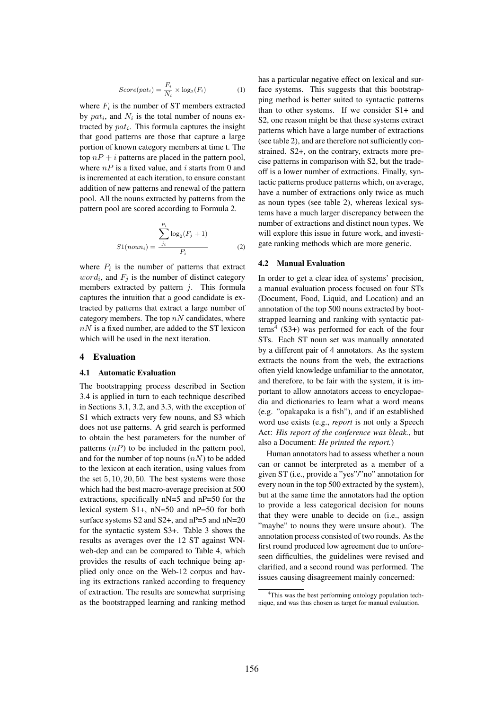$$
Score(path_i) = \frac{F_i}{N_i} \times \log_2(F_i)
$$
 (1)

where  $F_i$  is the number of ST members extracted by  $pat_i$ , and  $N_i$  is the total number of nouns extracted by  $pat_i$ . This formula captures the insight that good patterns are those that capture a large portion of known category members at time t. The top  $nP + i$  patterns are placed in the pattern pool, where  $nP$  is a fixed value, and i starts from 0 and is incremented at each iteration, to ensure constant addition of new patterns and renewal of the pattern pool. All the nouns extracted by patterns from the pattern pool are scored according to Formula 2.

$$
S1(noun_i) = \frac{\sum_{j_i}^{P_i} \log_2(F_j + 1)}{P_i}
$$
 (2)

where  $P_i$  is the number of patterns that extract  $word_i$ , and  $F_j$  is the number of distinct category members extracted by pattern  $j$ . This formula captures the intuition that a good candidate is extracted by patterns that extract a large number of category members. The top  $nN$  candidates, where  $nN$  is a fixed number, are added to the ST lexicon which will be used in the next iteration.

# 4 Evaluation

# 4.1 Automatic Evaluation

The bootstrapping process described in Section 3.4 is applied in turn to each technique described in Sections 3.1, 3.2, and 3.3, with the exception of S1 which extracts very few nouns, and S3 which does not use patterns. A grid search is performed to obtain the best parameters for the number of patterns  $(nP)$  to be included in the pattern pool, and for the number of top nouns  $(nN)$  to be added to the lexicon at each iteration, using values from the set 5, 10, 20, 50. The best systems were those which had the best macro-average precision at 500 extractions, specifically nN=5 and nP=50 for the lexical system S1+, nN=50 and nP=50 for both surface systems S2 and S2+, and nP=5 and nN=20 for the syntactic system S3+. Table 3 shows the results as averages over the 12 ST against WNweb-dep and can be compared to Table 4, which provides the results of each technique being applied only once on the Web-12 corpus and having its extractions ranked according to frequency of extraction. The results are somewhat surprising as the bootstrapped learning and ranking method has a particular negative effect on lexical and surface systems. This suggests that this bootstrapping method is better suited to syntactic patterns than to other systems. If we consider S1+ and S2, one reason might be that these systems extract patterns which have a large number of extractions (see table 2), and are therefore not sufficiently constrained. S2+, on the contrary, extracts more precise patterns in comparison with S2, but the tradeoff is a lower number of extractions. Finally, syntactic patterns produce patterns which, on average, have a number of extractions only twice as much as noun types (see table 2), whereas lexical systems have a much larger discrepancy between the number of extractions and distinct noun types. We will explore this issue in future work, and investigate ranking methods which are more generic.

# 4.2 Manual Evaluation

In order to get a clear idea of systems' precision, a manual evaluation process focused on four STs (Document, Food, Liquid, and Location) and an annotation of the top 500 nouns extracted by bootstrapped learning and ranking with syntactic patterns<sup>4</sup> (S3+) was performed for each of the four STs. Each ST noun set was manually annotated by a different pair of 4 annotators. As the system extracts the nouns from the web, the extractions often yield knowledge unfamiliar to the annotator, and therefore, to be fair with the system, it is important to allow annotators access to encyclopaedia and dictionaries to learn what a word means (e.g. "opakapaka is a fish"), and if an established word use exists (e.g., *report* is not only a Speech Act: *His report of the conference was bleak.*, but also a Document: *He printed the report.*)

Human annotators had to assess whether a noun can or cannot be interpreted as a member of a given ST (i.e., provide a "yes"/"no" annotation for every noun in the top 500 extracted by the system), but at the same time the annotators had the option to provide a less categorical decision for nouns that they were unable to decide on (i.e., assign "maybe" to nouns they were unsure about). The annotation process consisted of two rounds. As the first round produced low agreement due to unforeseen difficulties, the guidelines were revised and clarified, and a second round was performed. The issues causing disagreement mainly concerned:

<sup>4</sup>This was the best performing ontology population technique, and was thus chosen as target for manual evaluation.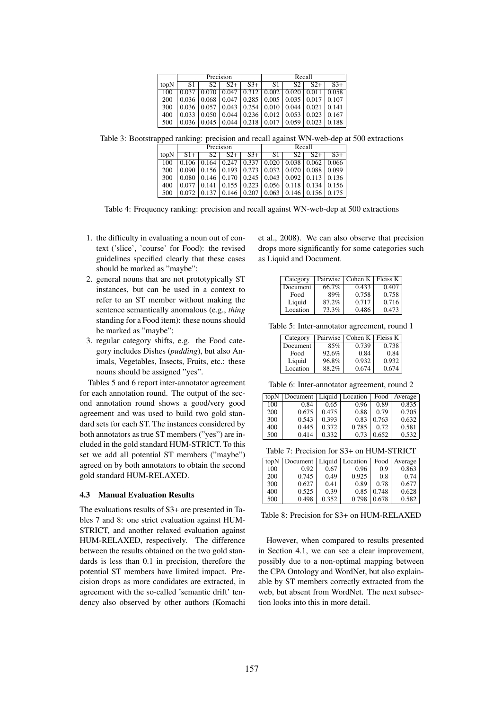|      | Precision |                   |          |                                                     | Recall             |                          |       |          |
|------|-----------|-------------------|----------|-----------------------------------------------------|--------------------|--------------------------|-------|----------|
| topN | S1        | S2.               | $S_{2+}$ | $S_{3+}$                                            | S1                 | S2                       | $S2+$ | $S_{3+}$ |
| 100  | 0.037     | 0.070             | 0.047    | 0.312                                               | 0.002              | $0.020 \overline{0.011}$ |       | 0.058    |
| 200  |           | $0.036 \pm 0.068$ | 0.047    | 0.285                                               | 0.005              | $0.035 \mid 0.017$       |       | 0.107    |
| 300  |           | $0.036 \pm 0.057$ |          | $0.043 \mid 0.254 \mid 0.010 \mid 0.044 \mid 0.021$ |                    |                          |       | 10.141   |
| 400  | 0.033     | 0.050             | 0.044    |                                                     | $0.236 \mid 0.012$ | 0.053                    | 0.023 | 0.167    |
| 500  | 0.036     | 0.045             | 0.044    | 0.218                                               | 0.017              | 0.059                    | 0.023 | 0.188    |

Table 3: Bootstrapped ranking: precision and recall against WN-web-dep at 500 extractions

|      | Precision |       |       |                    | Recall                                                              |    |       |             |
|------|-----------|-------|-------|--------------------|---------------------------------------------------------------------|----|-------|-------------|
| topN | $S1+$     | 82    | $S2+$ | $S_{3+}$           | S1                                                                  | S2 | $S2+$ | $S_{3+}$    |
| 100  | 0.106     | 0.164 |       |                    | $0.247 \mid 0.337 \mid 0.020 \mid 0.038 \mid 0.062$                 |    |       | 10.066      |
| 200  | 0.090     |       |       |                    | $0.156$   $0.193$   $0.273$   $0.032$   $0.070$   $0.088$   $0.099$ |    |       |             |
| 300  | 0.080     |       |       |                    | $0.146$   0.170   0.245   0.043   0.092   0.113   0.136             |    |       |             |
| 400  |           | 0.141 |       |                    | $0.155 \mid 0.223 \mid 0.056 \mid 0.118 \mid 0.134$                 |    |       | $\pm 0.156$ |
| 500  |           |       |       | $0.146 \mid 0.207$ | $\vert 0.063 \vert 0.146 \vert 0.156 \vert 0.175$                   |    |       |             |

Table 4: Frequency ranking: precision and recall against WN-web-dep at 500 extractions

- 1. the difficulty in evaluating a noun out of context ('slice', 'course' for Food): the revised guidelines specified clearly that these cases should be marked as "maybe";
- 2. general nouns that are not prototypically ST instances, but can be used in a context to refer to an ST member without making the sentence semantically anomalous (e.g., *thing* standing for a Food item): these nouns should be marked as "maybe";
- 3. regular category shifts, e.g. the Food category includes Dishes (*pudding*), but also Animals, Vegetables, Insects, Fruits, etc.: these nouns should be assigned "yes".

Tables 5 and 6 report inter-annotator agreement for each annotation round. The output of the second annotation round shows a good/very good agreement and was used to build two gold standard sets for each ST. The instances considered by both annotators as true ST members ("yes") are included in the gold standard HUM-STRICT. To this set we add all potential ST members ("maybe") agreed on by both annotators to obtain the second gold standard HUM-RELAXED.

# 4.3 Manual Evaluation Results

The evaluations results of S3+ are presented in Tables 7 and 8: one strict evaluation against HUM-STRICT, and another relaxed evaluation against HUM-RELAXED, respectively. The difference between the results obtained on the two gold standards is less than 0.1 in precision, therefore the potential ST members have limited impact. Precision drops as more candidates are extracted, in agreement with the so-called 'semantic drift' tendency also observed by other authors (Komachi et al., 2008). We can also observe that precision drops more significantly for some categories such as Liquid and Document.

| Category | Pairwise | Cohen K   Fleiss K |       |
|----------|----------|--------------------|-------|
| Document | 66.7%    | 0.433              | 0.407 |
| Food     | 89%      | 0.758              | 0.758 |
| Liquid   | 87.2%    | 0.717              | 0.716 |
| Location | 73.3%    | 0.486              | 0.473 |

Table 5: Inter-annotator agreement, round 1

| Category |       | Pairwise   Cohen K   Fleiss K |       |
|----------|-------|-------------------------------|-------|
| Document | 85%   | 0.739                         | 0.738 |
| Food     | 92.6% | 0.84                          | 0.84  |
| Liquid   | 96.8% | 0.932                         | 0.932 |
| Location | 88.2% | 0.674                         | 0.674 |

Table 6: Inter-annotator agreement, round 2

| topN | Document   Liquid |       | Location | Food  | Average |
|------|-------------------|-------|----------|-------|---------|
| 100  | 0.84              | 0.65  | 0.96     | 0.89  | 0.835   |
| 200  | 0.675             | 0.475 | 0.88     | 0.79  | 0.705   |
| 300  | 0.543             | 0.393 | 0.83     | 0.763 | 0.632   |
| 400  | 0.445             | 0.372 | 0.785    | 0.72  | 0.581   |
| 500  | 0.414             | 0.332 | 0.73     | 0.652 | 0.532   |

Table 7: Precision for S3+ on HUM-STRICT

| topN | Document | Liquid | Location | Food  | Average |
|------|----------|--------|----------|-------|---------|
| 100  | 0.92     | 0.67   | 0.96     | 0.9   | 0.863   |
| 200  | 0.745    | 0.49   | 0.925    | 0.8   | 0.74    |
| 300  | 0.627    | 0.41   | 0.89     | 0.78  | 0.677   |
| 400  | 0.525    | 0.39   | 0.85     | 0.748 | 0.628   |
| 500  | 0.498    | 0.352  | 0.798    | 0.678 | 0.582   |

Table 8: Precision for S3+ on HUM-RELAXED

However, when compared to results presented in Section 4.1, we can see a clear improvement, possibly due to a non-optimal mapping between the CPA Ontology and WordNet, but also explainable by ST members correctly extracted from the web, but absent from WordNet. The next subsection looks into this in more detail.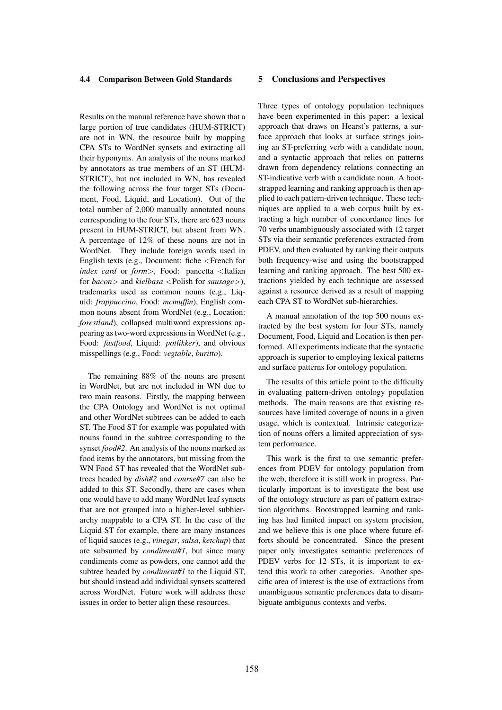# 4.4 Comparison Between Gold Standards

Results on the manual reference have shown that a large portion of true candidates (HUM-STRICT) are not in WN, the resource built by mapping CPA STs to WordNet synsets and extracting all their hyponyms. An analysis of the nouns marked by annotators as true members of an ST (HUM-STRICT), but not included in WN, has revealed the following across the four target STs (Document, Food, Liquid, and Location). Out of the total number of 2,000 manually annotated nouns corresponding to the four STs, there are 623 nouns present in HUM-STRICT, but absent from WN. A percentage of 12% of these nouns are not in WordNet. They include foreign words used in English texts (e.g., Document: fiche <French for *index card* or *form*>, Food: pancetta <Italian for *bacon*> and *kielbasa* <Polish for *sausage*>), trademarks used as common nouns (e.g., Liquid: *frappuccino*, Food: *mcmuffin*), English common nouns absent from WordNet (e.g., Location: *forestland*), collapsed multiword expressions appearing as two-word expressions in WordNet (e.g., Food: *fastfood*, Liquid: *potlikker*), and obvious misspellings (e.g., Food: *vegtable*, *buritto*).

The remaining 88% of the nouns are present in WordNet, but are not included in WN due to two main reasons. Firstly, the mapping between the CPA Ontology and WordNet is not optimal and other WordNet subtrees can be added to each ST. The Food ST for example was populated with nouns found in the subtree corresponding to the synset *food#2*. An analysis of the nouns marked as food items by the annotators, but missing from the WN Food ST has revealed that the WordNet subtrees headed by *dish#2* and *course#7* can also be added to this ST. Secondly, there are cases when one would have to add many WordNet leaf synsets that are not grouped into a higher-level subhierarchy mappable to a CPA ST. In the case of the Liquid ST for example, there are many instances of liquid sauces (e.g., *vinegar*, *salsa*, *ketchup*) that are subsumed by *condiment#1*, but since many condiments come as powders, one cannot add the subtree headed by *condiment#1* to the Liquid ST, but should instead add individual synsets scattered across WordNet. Future work will address these issues in order to better align these resources.

# 5 Conclusions and Perspectives

Three types of ontology population techniques have been experimented in this paper: a lexical approach that draws on Hearst's patterns, a surface approach that looks at surface strings joining an ST-preferring verb with a candidate noun, and a syntactic approach that relies on patterns drawn from dependency relations connecting an ST-indicative verb with a candidate noun. A bootstrapped learning and ranking approach is then applied to each pattern-driven technique. These techniques are applied to a web corpus built by extracting a high number of concordance lines for 70 verbs unambiguously associated with 12 target STs via their semantic preferences extracted from PDEV, and then evaluated by ranking their outputs both frequency-wise and using the bootstrapped learning and ranking approach. The best 500 extractions yielded by each technique are assessed against a resource derived as a result of mapping each CPA ST to WordNet sub-hierarchies.

A manual annotation of the top 500 nouns extracted by the best system for four STs, namely Document, Food, Liquid and Location is then performed. All experiments indicate that the syntactic approach is superior to employing lexical patterns and surface patterns for ontology population.

The results of this article point to the difficulty in evaluating pattern-driven ontology population methods. The main reasons are that existing resources have limited coverage of nouns in a given usage, which is contextual. Intrinsic categorization of nouns offers a limited appreciation of system performance.

This work is the first to use semantic preferences from PDEV for ontology population from the web, therefore it is still work in progress. Particularly important is to investigate the best use of the ontology structure as part of pattern extraction algorithms. Bootstrapped learning and ranking has had limited impact on system precision, and we believe this is one place where future efforts should be concentrated. Since the present paper only investigates semantic preferences of PDEV verbs for 12 STs, it is important to extend this work to other categories. Another specific area of interest is the use of extractions from unambiguous semantic preferences data to disambiguate ambiguous contexts and verbs.